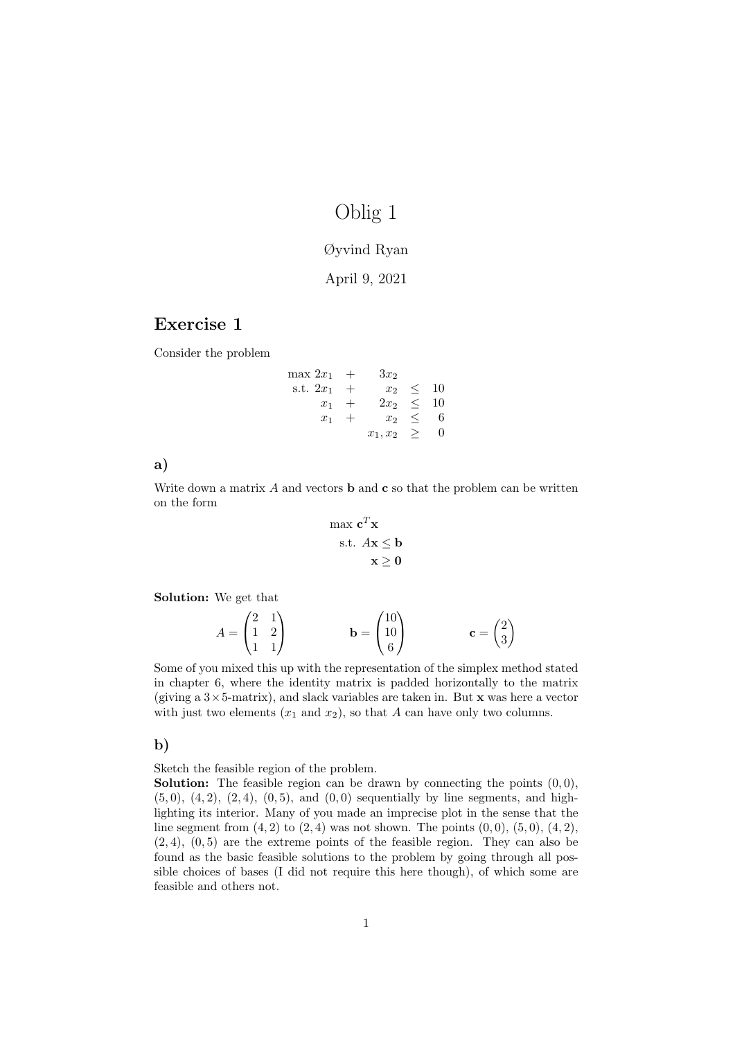# Oblig 1

### Øyvind Ryan

# April 9, 2021

# Exercise 1

Consider the problem

| $\max 2x_1 +$ |        | $3x_2$          |           |   |
|---------------|--------|-----------------|-----------|---|
| s.t. $2x_1$   | $+$    | $x_2$           | $\leq$ 10 |   |
| $x_1$         | $^{+}$ | $2x_2$          | $\leq$ 10 |   |
| $x_1$         | $^{+}$ | $x_2$           | $\leq$    | 6 |
|               |        | $x_1, x_2 \geq$ |           |   |

a)

Write down a matrix  $A$  and vectors **b** and **c** so that the problem can be written on the form

$$
\max \mathbf{c}^T \mathbf{x}
$$
  
s.t.  $A\mathbf{x} \le \mathbf{b}$   
 $\mathbf{x} \ge \mathbf{0}$ 

Solution: We get that

$$
A = \begin{pmatrix} 2 & 1 \\ 1 & 2 \\ 1 & 1 \end{pmatrix} \qquad \qquad \mathbf{b} = \begin{pmatrix} 10 \\ 10 \\ 6 \end{pmatrix} \qquad \qquad \mathbf{c} = \begin{pmatrix} 2 \\ 3 \end{pmatrix}
$$

Some of you mixed this up with the representation of the simplex method stated in chapter 6, where the identity matrix is padded horizontally to the matrix (giving a  $3 \times 5$ -matrix), and slack variables are taken in. But x was here a vector with just two elements  $(x_1 \text{ and } x_2)$ , so that A can have only two columns.

### b)

Sketch the feasible region of the problem.

**Solution:** The feasible region can be drawn by connecting the points  $(0, 0)$ ,  $(5,0), (4,2), (2,4), (0,5),$  and  $(0,0)$  sequentially by line segments, and highlighting its interior. Many of you made an imprecise plot in the sense that the line segment from  $(4, 2)$  to  $(2, 4)$  was not shown. The points  $(0, 0)$ ,  $(5, 0)$ ,  $(4, 2)$ ,  $(2, 4)$ ,  $(0, 5)$  are the extreme points of the feasible region. They can also be found as the basic feasible solutions to the problem by going through all possible choices of bases (I did not require this here though), of which some are feasible and others not.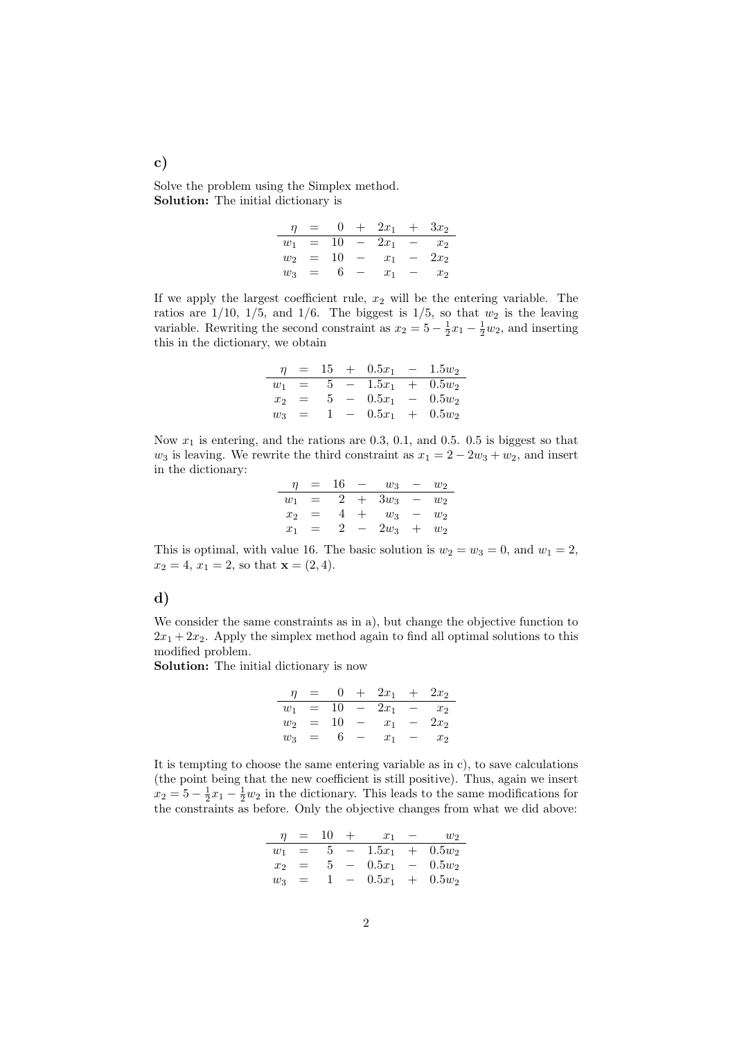Solve the problem using the Simplex method. Solution: The initial dictionary is

| п     | $=$ |    | $+$ | $2x_1$ | $3x_2$         |
|-------|-----|----|-----|--------|----------------|
| $w_1$ | $=$ | 10 |     | $2x_1$ | $x_2$          |
| $w_2$ | $=$ | 10 |     | $x_1$  | $2x_2$         |
| $w_3$ | $=$ | h  |     | $x_1$  | x <sub>2</sub> |

If we apply the largest coefficient rule,  $x_2$  will be the entering variable. The ratios are  $1/10$ ,  $1/5$ , and  $1/6$ . The biggest is  $1/5$ , so that  $w_2$  is the leaving variable. Rewriting the second constraint as  $x_2 = 5 - \frac{1}{2}x_1 - \frac{1}{2}w_2$ , and inserting this in the dictionary, we obtain

| п              | $=$ | 15 | $+$ 0.5 $x_1$ - |     | $1.5w_2$      |
|----------------|-----|----|-----------------|-----|---------------|
| $w_1$          | $=$ | 5  | $1.5x_1$        |     | $+$ 0.5 $w_2$ |
| x <sub>2</sub> | $=$ | 5. | $0.5x_1 =$      |     | $0.5w_2$      |
| $w_3$          | $=$ |    | $0.5x_1$        | $+$ | $0.5w_2$      |

Now  $x_1$  is entering, and the rations are 0.3, 0.1, and 0.5. 0.5 is biggest so that  $w_3$  is leaving. We rewrite the third constraint as  $x_1 = 2 - 2w_3 + w_2$ , and insert in the dictionary:

| п     | $=$ | 16 | $w_3$  | W2 |
|-------|-----|----|--------|----|
| $w_1$ | $=$ |    | $3w_3$ | W2 |
| $x_2$ | $=$ |    | $w_3$  | W2 |
| $x_1$ | $=$ | 2  | $2w_3$ | W2 |

This is optimal, with value 16. The basic solution is  $w_2 = w_3 = 0$ , and  $w_1 = 2$ ,  $x_2 = 4, x_1 = 2$ , so that  $\mathbf{x} = (2, 4)$ .

#### d)

We consider the same constraints as in a), but change the objective function to  $2x_1 + 2x_2$ . Apply the simplex method again to find all optimal solutions to this modified problem.

Solution: The initial dictionary is now

$$
\begin{array}{rcl}\n\eta & = & 0 & + & 2x_1 & + & 2x_2 \\
\hline\nw_1 & = & 10 & - & 2x_1 & - & x_2 \\
w_2 & = & 10 & - & x_1 & - & 2x_2 \\
w_3 & = & 6 & - & x_1 & - & x_2\n\end{array}
$$

It is tempting to choose the same entering variable as in c), to save calculations (the point being that the new coefficient is still positive). Thus, again we insert  $x_2 = 5 - \frac{1}{2}x_1 - \frac{1}{2}w_2$  in the dictionary. This leads to the same modifications for the constraints as before. Only the objective changes from what we did above:

| п       |     | 10 | $x_1$      |     | W2       |
|---------|-----|----|------------|-----|----------|
| $w_1$   | $=$ | 5  | $1.5x_1 +$ |     | $0.5w_2$ |
| $x_{2}$ |     | 5  | $0.5x_1 =$ |     | $0.5w_2$ |
| $w_3$   | $=$ |    | $0.5x_1$   | $+$ | $0.5w_2$ |

c)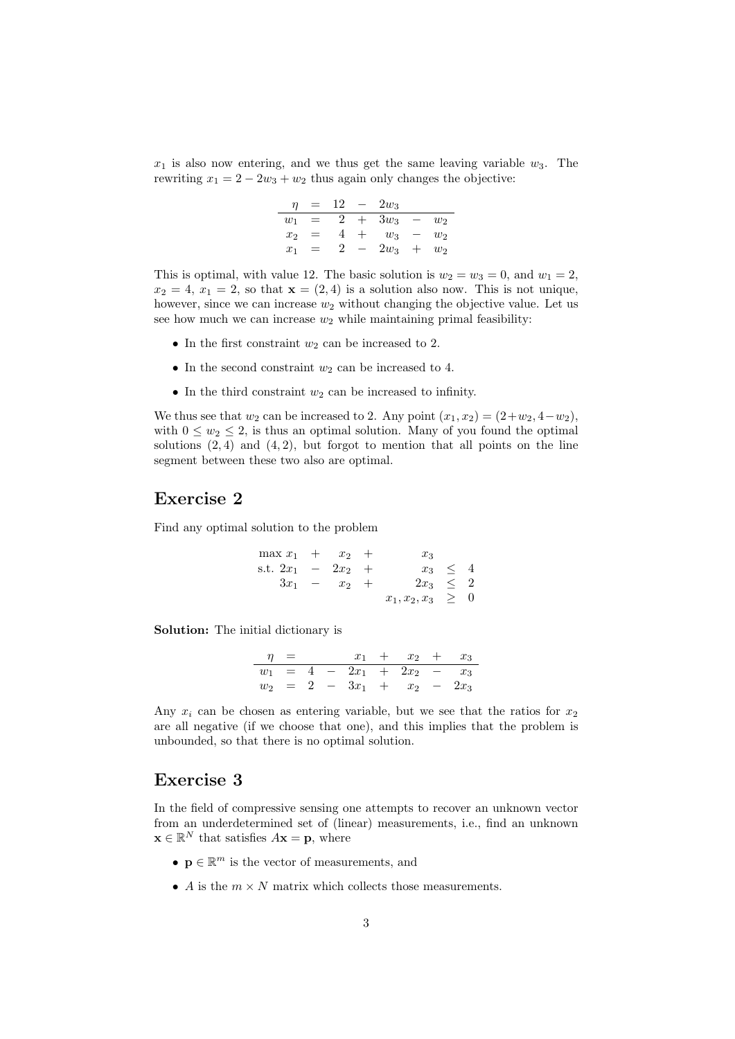$x_1$  is also now entering, and we thus get the same leaving variable  $w_3$ . The rewriting  $x_1 = 2 - 2w_3 + w_2$  thus again only changes the objective:

| $\eta$         |     | 12             | $2w_3$ |                |
|----------------|-----|----------------|--------|----------------|
| $w_1$          | $=$ | $\overline{2}$ | $3w_3$ | W <sub>2</sub> |
| x <sub>2</sub> | $=$ |                | $w_3$  | $w_2$          |
| $x_1$          | $=$ | 2              | $2w_3$ | W <sub>2</sub> |

This is optimal, with value 12. The basic solution is  $w_2 = w_3 = 0$ , and  $w_1 = 2$ ,  $x_2 = 4, x_1 = 2$ , so that  $\mathbf{x} = (2, 4)$  is a solution also now. This is not unique, however, since we can increase  $w_2$  without changing the objective value. Let us see how much we can increase  $w_2$  while maintaining primal feasibility:

- In the first constraint  $w_2$  can be increased to 2.
- In the second constraint  $w_2$  can be increased to 4.
- In the third constraint  $w_2$  can be increased to infinity.

We thus see that  $w_2$  can be increased to 2. Any point  $(x_1, x_2) = (2 + w_2, 4 - w_2)$ , with  $0 \leq w_2 \leq 2$ , is thus an optimal solution. Many of you found the optimal solutions  $(2, 4)$  and  $(4, 2)$ , but forgot to mention that all points on the line segment between these two also are optimal.

## Exercise 2

Find any optimal solution to the problem

| $\max x_1 + x_2 +$   |                | $x_3$                  |              |  |
|----------------------|----------------|------------------------|--------------|--|
| s.t. $2x_1 - 2x_2 +$ |                |                        | $x_3 \leq 4$ |  |
|                      | $3x_1 - x_2 +$ | $2x_3 \leq 2$          |              |  |
|                      |                | $x_1, x_2, x_3 \geq 0$ |              |  |

Solution: The initial dictionary is

| $n =$ |  |  | $x_1 + x_2 + x_3$             |  |
|-------|--|--|-------------------------------|--|
|       |  |  | $w_1 = 4 - 2x_1 + 2x_2 - x_3$ |  |
|       |  |  | $w_2 = 2 - 3x_1 + x_2 - 2x_3$ |  |

Any  $x_i$  can be chosen as entering variable, but we see that the ratios for  $x_2$ are all negative (if we choose that one), and this implies that the problem is unbounded, so that there is no optimal solution.

# Exercise 3

In the field of compressive sensing one attempts to recover an unknown vector from an underdetermined set of (linear) measurements, i.e., find an unknown  $\mathbf{x} \in \mathbb{R}^N$  that satisfies  $A\mathbf{x} = \mathbf{p}$ , where

- $\mathbf{p} \in \mathbb{R}^m$  is the vector of measurements, and
- A is the  $m \times N$  matrix which collects those measurements.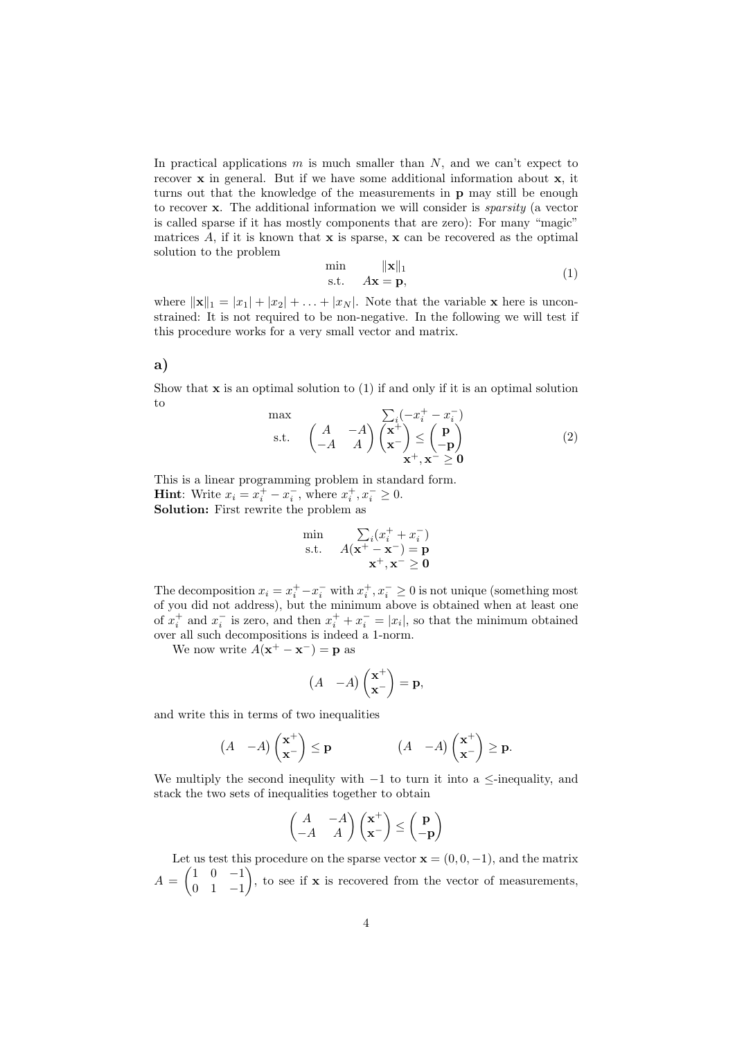In practical applications  $m$  is much smaller than  $N$ , and we can't expect to recover x in general. But if we have some additional information about x, it turns out that the knowledge of the measurements in p may still be enough to recover x. The additional information we will consider is sparsity (a vector is called sparse if it has mostly components that are zero): For many "magic" matrices  $A$ , if it is known that  $x$  is sparse,  $x$  can be recovered as the optimal solution to the problem

$$
\min_{\mathbf{s}.\mathbf{t}} \quad \lim_{A\mathbf{x} = \mathbf{p},} \tag{1}
$$

where  $\|\mathbf{x}\|_1 = |x_1| + |x_2| + \ldots + |x_N|$ . Note that the variable **x** here is unconstrained: It is not required to be non-negative. In the following we will test if this procedure works for a very small vector and matrix.

### a)

Show that  $x$  is an optimal solution to  $(1)$  if and only if it is an optimal solution to

$$
\begin{array}{ll}\n\text{max} & \sum_{i} (-x_i^+ - x_i^-) \\
\text{s.t.} & \begin{pmatrix} A & -A \\ -A & A \end{pmatrix} \begin{pmatrix} \mathbf{x}^+ \\ \mathbf{x}^- \end{pmatrix} \leq \begin{pmatrix} \mathbf{p} \\ -\mathbf{p} \end{pmatrix} \\
\mathbf{x}^+, \mathbf{x}^- \geq \mathbf{0}\n\end{array} \tag{2}
$$

This is a linear programming problem in standard form. **Hint:** Write  $x_i = x_i^+ - x_i^-$ , where  $x_i^+, x_i^- \ge 0$ . Solution: First rewrite the problem as

$$
\min_{\mathbf{s}.\mathbf{t}} \quad \sum_{i}(x_i^+ + x_i^-) \n\mathbf{s}.\mathbf{t}} \quad A(\mathbf{x}^+ - \mathbf{x}^-) = \mathbf{p} \n\mathbf{x}^+, \mathbf{x}^- \ge \mathbf{0}
$$

The decomposition  $x_i = x_i^+ - x_i^-$  with  $x_i^+, x_i^- \ge 0$  is not unique (something most of you did not address), but the minimum above is obtained when at least one of  $x_i^+$  and  $x_i^-$  is zero, and then  $x_i^+ + x_i^- = |x_i|$ , so that the minimum obtained over all such decompositions is indeed a 1-norm.

We now write  $A(\mathbf{x}^+ - \mathbf{x}^-) = \mathbf{p}$  as

$$
(A - A) \begin{pmatrix} \mathbf{x}^+ \\ \mathbf{x}^- \end{pmatrix} = \mathbf{p},
$$

and write this in terms of two inequalities

$$
(A - A) \begin{pmatrix} \mathbf{x}^+ \\ \mathbf{x}^- \end{pmatrix} \le \mathbf{p} \qquad (A - A) \begin{pmatrix} \mathbf{x}^+ \\ \mathbf{x}^- \end{pmatrix} \ge \mathbf{p}.
$$

We multiply the second inequlity with  $-1$  to turn it into a  $\leq$ -inequality, and stack the two sets of inequalities together to obtain

$$
\begin{pmatrix} A & -A \ -A & A \end{pmatrix} \begin{pmatrix} \mathbf{x}^+ \\ \mathbf{x}^- \end{pmatrix} \le \begin{pmatrix} \mathbf{p} \\ -\mathbf{p} \end{pmatrix}
$$

Let us test this procedure on the sparse vector  $\mathbf{x} = (0, 0, -1)$ , and the matrix  $A = \begin{pmatrix} 1 & 0 & -1 \\ 0 & 1 & 1 \end{pmatrix}$ 0 1 −1 ), to see if  $x$  is recovered from the vector of measurements,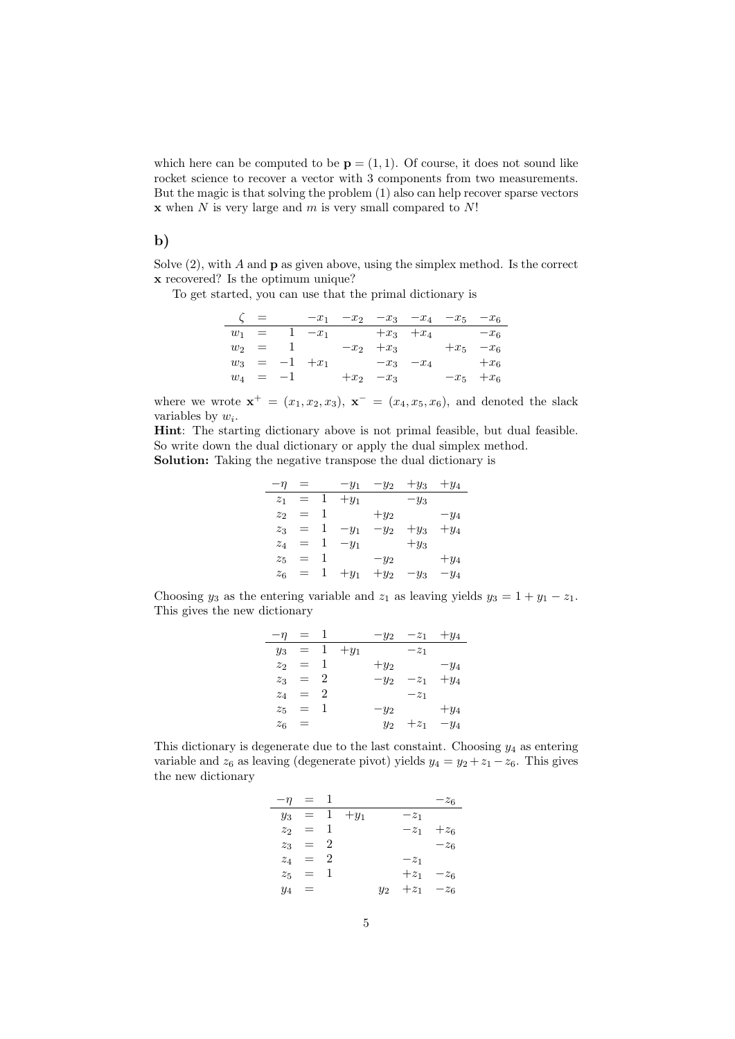which here can be computed to be  $\mathbf{p} = (1, 1)$ . Of course, it does not sound like rocket science to recover a vector with 3 components from two measurements. But the magic is that solving the problem (1) also can help recover sparse vectors  $x$  when N is very large and  $m$  is very small compared to  $N!$ 

### b)

Solve  $(2)$ , with A and **p** as given above, using the simplex method. Is the correct x recovered? Is the optimum unique?

To get started, you can use that the primal dictionary is

| $\zeta =$ |            |                               | $-x_1$ $-x_2$ $-x_3$ $-x_4$ $-x_5$ $-x_6$ |               |  |
|-----------|------------|-------------------------------|-------------------------------------------|---------------|--|
|           |            | $w_1 = 1 -x_1 +x_3 +x_4 -x_6$ |                                           |               |  |
|           |            | $w_2 = 1 -x_2 +x_3$           |                                           | $+x_5$ $-x_6$ |  |
|           |            | $w_3 = -1 + x_1$              | $-x_3$ $-x_4$                             | $+x_6$        |  |
|           | $w_4 = -1$ |                               | $+x_2$ $-x_3$                             | $-x_5 + x_6$  |  |

where we wrote  $\mathbf{x}^+ = (x_1, x_2, x_3), \mathbf{x}^- = (x_4, x_5, x_6),$  and denoted the slack variables by  $w_i$ .

Hint: The starting dictionary above is not primal feasible, but dual feasible. So write down the dual dictionary or apply the dual simplex method. Solution: Taking the negative transpose the dual dictionary is

| $-\eta$          |     |   | $-y_1$ | $-y_2$ | $+y_3$ | $+y_4$ |
|------------------|-----|---|--------|--------|--------|--------|
| $\overline{z}_1$ | $=$ | 1 | $+y_1$ |        | $-y_3$ |        |
| z <sub>2</sub>   | $=$ | 1 |        | $+y_2$ |        | $-y_4$ |
| $z_3$            | $=$ |   | $-y_1$ | $-y_2$ | $+y_3$ | $+y_4$ |
| $z_4$            | $=$ |   | $-y_1$ |        | $+y_3$ |        |
| $z_{5}$          | =   |   |        | $-y_2$ |        | $+y_4$ |
| $z_6$            | =   |   | $+y_1$ | $+y_2$ | $-y_3$ | $-y_4$ |

Choosing  $y_3$  as the entering variable and  $z_1$  as leaving yields  $y_3 = 1 + y_1 - z_1$ . This gives the new dictionary

| $-\eta = 1$    |           |        |        | $-y_2$ $-z_1$ $+y_4$ |        |
|----------------|-----------|--------|--------|----------------------|--------|
| $y_3$          | $=$ 1     | $+y_1$ |        | $-z_1$               |        |
| z <sub>2</sub> | $=$ 1     |        | $+y_2$ |                      | $-y_4$ |
|                | $z_3 = 2$ |        | $-y_2$ | $-z_1$               | $+y_4$ |
|                | $z_4 = 2$ |        |        | $-z_1$               |        |
|                | $z_5 = 1$ |        | $-y_2$ |                      | $+y_4$ |
| $z_6 =$        |           |        | $y_2$  | $+z_1$               | $-y_4$ |

This dictionary is degenerate due to the last constaint. Choosing  $y_4$  as entering variable and  $z_6$  as leaving (degenerate pivot) yields  $y_4 = y_2 + z_1 - z_6$ . This gives the new dictionary

| $-\eta$ | $=$ 1     |             |       |               | $-z_6$        |
|---------|-----------|-------------|-------|---------------|---------------|
| $y_3$   |           | $= 1 + y_1$ |       | $-z_1$        |               |
|         | $z_2 = 1$ |             |       | $-z_1$        | $+z_6$        |
|         | $z_3 = 2$ |             |       |               | $-z_6$        |
|         | $z_4 = 2$ |             |       | $-z_1$        |               |
|         | $z_5 = 1$ |             |       |               | $+z_1$ $-z_6$ |
| $y_4 =$ |           |             | $y_2$ | $+z_1$ $-z_6$ |               |